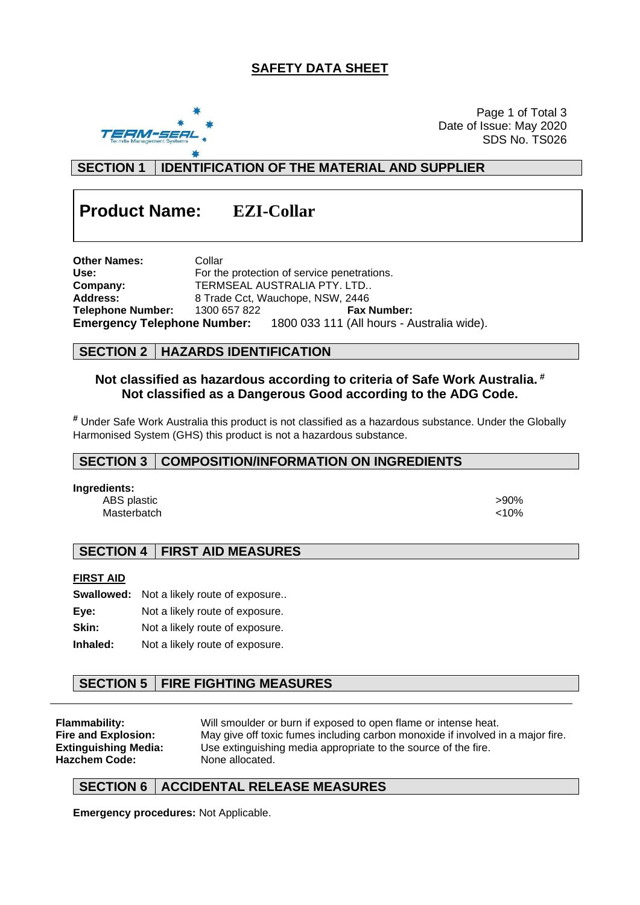# **SAFETY DATA SHEET**



Page 1 of Total 3 Date of Issue: May 2020 SDS No. TS026

**SECTION 1 IDENTIFICATION OF THE MATERIAL AND SUPPLIER**

# **Product Name: EZI-Collar**

**Other Names:** Collar Use: **Use:** For the protection of service penetrations. **Company:** TERMSEAL AUSTRALIA PTY. LTD.. Address: 8 Trade Cct, Wauchope, NSW, 2446 **Telephone Number:** 1300 657 822 **Fax Number: Emergency Telephone Number:** 1800 033 111 (All hours - Australia wide).

## **SECTION 2 HAZARDS IDENTIFICATION**

## **Not classified as hazardous according to criteria of Safe Work Australia. # Not classified as a Dangerous Good according to the ADG Code.**

**#** Under Safe Work Australia this product is not classified as a hazardous substance. Under the Globally Harmonised System (GHS) this product is not a hazardous substance.

#### **SECTION 3 COMPOSITION/INFORMATION ON INGREDIENTS**

#### **Ingredients:**

ABS plastic  $>90\%$ Masterbatch <10%

# **SECTION 4 FIRST AID MEASURES**

#### **FIRST AID**

|       | <b>Swallowed:</b> Not a likely route of exposure |
|-------|--------------------------------------------------|
| Eve:  | Not a likely route of exposure.                  |
| Skin: | Not a likely route of exposure.                  |

**Inhaled:** Not a likely route of exposure.

# **SECTION 5 FIRE FIGHTING MEASURES**

**Hazchem Code:** None allocated.

**Flammability:** Will smoulder or burn if exposed to open flame or intense heat.<br>**Fire and Explosion:** May give off toxic fumes including carbon monoxide if involved i **Fire and Explosion:** May give off toxic fumes including carbon monoxide if involved in a major fire. **Extinguishing Media:** Use extinguishing media appropriate to the source of the fire.

#### **SECTION 6 ACCIDENTAL RELEASE MEASURES**

**Emergency procedures:** Not Applicable.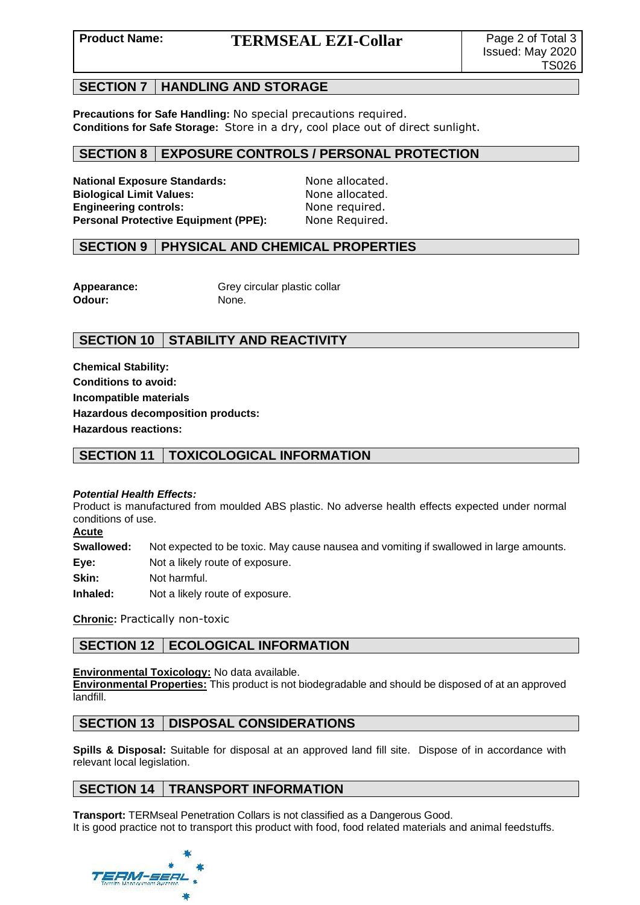# **Product Name: TERMSEAL EZI-Collar** Page 2 of Total 3

#### **SECTION 7 HANDLING AND STORAGE**

**Precautions for Safe Handling:** No special precautions required. **Conditions for Safe Storage:** Store in a dry, cool place out of direct sunlight.

## **SECTION 8 EXPOSURE CONTROLS / PERSONAL PROTECTION**

National Exposure Standards: None allocated. **Biological Limit Values:** None allocated. **Engineering controls:** None required.<br>**Personal Protective Equipment (PPE):** None Required. **Personal Protective Equipment (PPE):** 

#### **SECTION 9 PHYSICAL AND CHEMICAL PROPERTIES**

**Odour:** None.

Appearance: Grey circular plastic collar

# **SECTION 10 STABILITY AND REACTIVITY**

**Chemical Stability: Conditions to avoid: Incompatible materials Hazardous decomposition products: Hazardous reactions:**

# **SECTION 11 TOXICOLOGICAL INFORMATION**

#### *Potential Health Effects:*

Product is manufactured from moulded ABS plastic. No adverse health effects expected under normal conditions of use.

**Acute**

**Swallowed:** Not expected to be toxic. May cause nausea and vomiting if swallowed in large amounts.

**Eye:** Not a likely route of exposure.

**Skin:** Not harmful.

**Inhaled:** Not a likely route of exposure.

**Chronic:** Practically non-toxic

# **SECTION 12 | ECOLOGICAL INFORMATION**

#### **Environmental Toxicology:** No data available.

**Environmental Properties:** This product is not biodegradable and should be disposed of at an approved landfill.

# **SECTION 13 DISPOSAL CONSIDERATIONS**

**Spills & Disposal:** Suitable for disposal at an approved land fill site. Dispose of in accordance with relevant local legislation.

# **SECTION 14 TRANSPORT INFORMATION**

**Transport:** TERMseal Penetration Collars is not classified as a Dangerous Good. It is good practice not to transport this product with food, food related materials and animal feedstuffs.